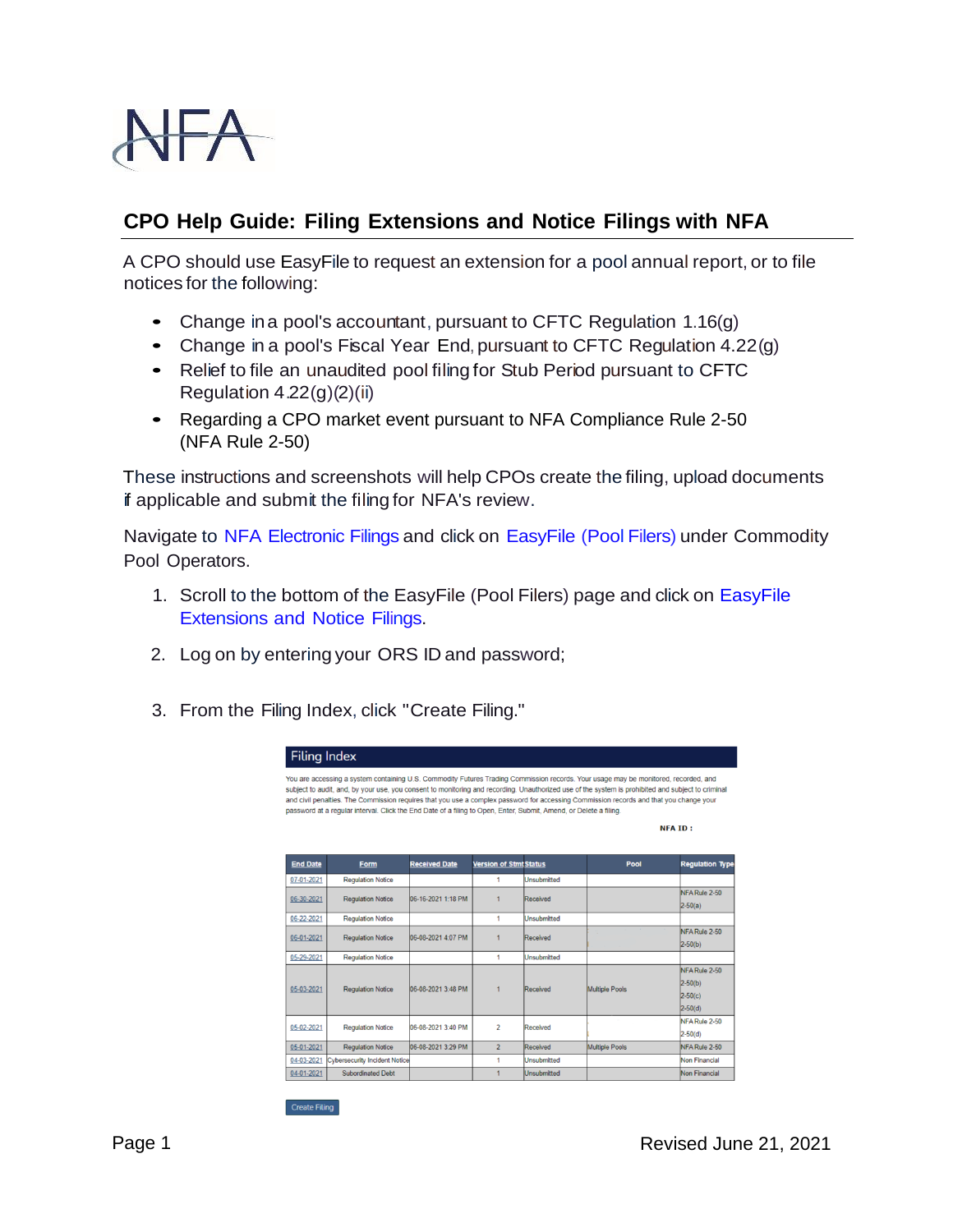

## **CPO Help Guide: Filing Extensions and Notice Filings with NFA**

A CPO should use EasyFile to request an extension for a pool annual report, or to file notices for the following:

- Change ina pool's accountant, pursuant to CFTC Regulation 1.16(g)
- Change in <sup>a</sup> pool's Fiscal Year End,pursuant to CFTC Regulation 4.22(g)
- Relief to file an unaudited pool filing for Stub Period pursuant to CFTC Regulation  $4.22(g)(2)(ii)$
- Regarding a CPO market event pursuant to NFA Compliance Rule 2-50 (NFA Rule 2-50)

These instructions and screenshots will help CPOs create the filing, upload documents if applicable and submit the filing for NFA's review.

Navigate to NFA [Electronic](http://www.nfa.futures.org/NFA-electronic-filings/index.HTML) Filings and click on [EasyFile](http://www.nfa.futures.org/NFA-electronic-filings/easyFile-Pool-filers.HTML) (Pool Filers) under Commodity Pool Operators.

- 1. Scroll to the bottom of the EasyFile (Pool Filers) page and click on [EasyFile](https://www.nfa.futures.org/SignOn/Default.aspx?app=EASYFILENT) [Extensions](https://www.nfa.futures.org/SignOn/Default.aspx?app=EASYFILENT) and Notice Filings.
- 2. Log on by entering your ORS ID and password;
- 3. From the Filing Index, click "Create Filing."



Create Filing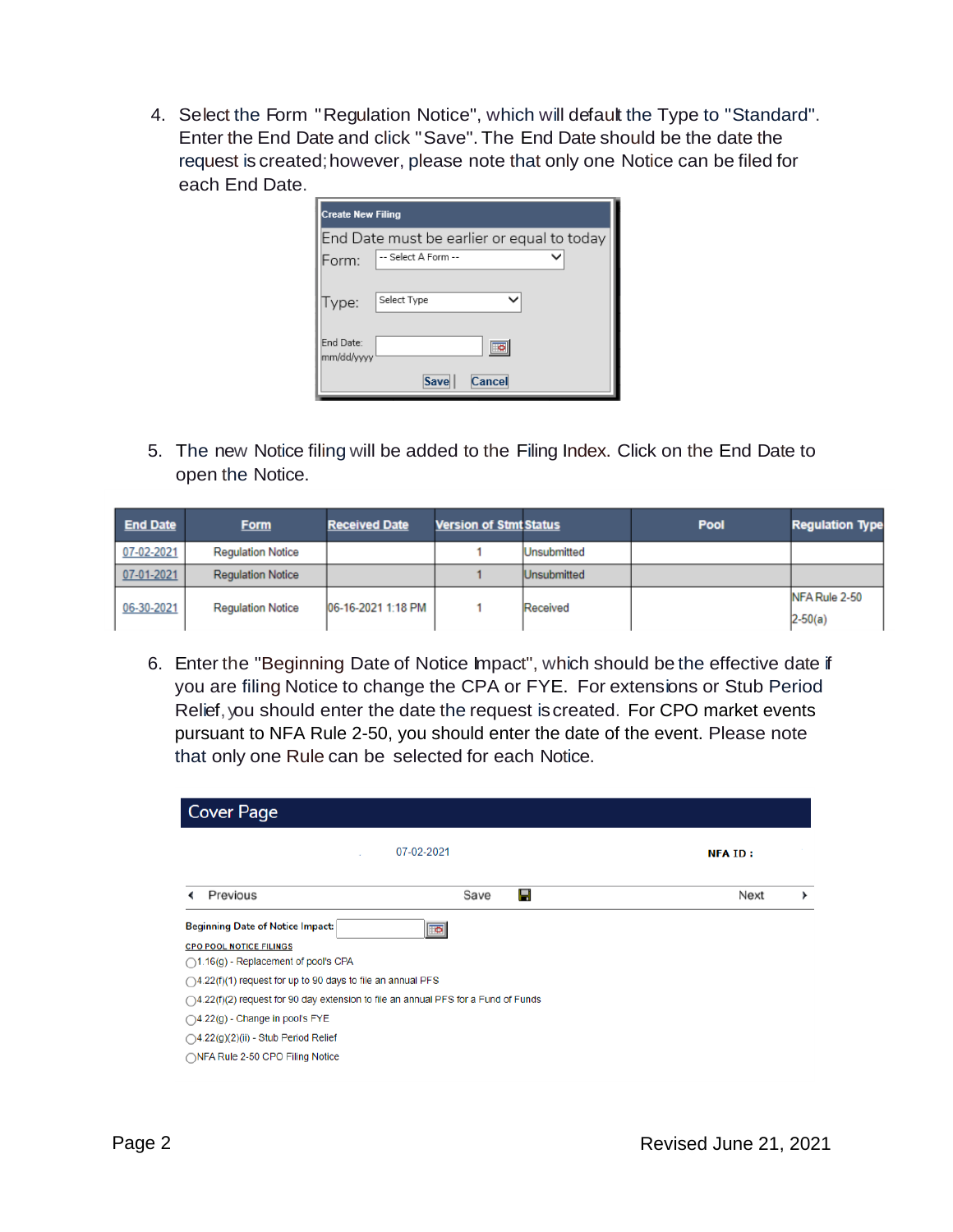4. Select the Form "Regulation Notice", which will default the Type to "Standard". Enter the End Date and click "Save". The End Date should be the date the request is created; however, please note that only one Notice can be filed for each End Date.

| <b>Create New Filing</b> |                                            |  |  |  |
|--------------------------|--------------------------------------------|--|--|--|
|                          | End Date must be earlier or equal to today |  |  |  |
| Form:                    | -- Select A Form --                        |  |  |  |
| Type:                    | Select Type                                |  |  |  |
| End Date:<br>mm/dd/yyyy  |                                            |  |  |  |
|                          | Cancel<br>Save                             |  |  |  |

5. The new Notice filing will be added to the Filing Index. Click on the End Date to open the Notice.

| <b>End Date</b> | <b>Form</b>              | <b>Received Date</b> | <b>Version of Stmt Status</b> |                    | <b>Pool</b> | <b>Regulation Type</b> |
|-----------------|--------------------------|----------------------|-------------------------------|--------------------|-------------|------------------------|
| 07-02-2021      | <b>Regulation Notice</b> |                      |                               | <b>Unsubmitted</b> |             |                        |
| 07-01-2021      | <b>Regulation Notice</b> |                      |                               | <b>Unsubmitted</b> |             |                        |
| 06-30-2021      | <b>Regulation Notice</b> | 06-16-2021 1:18 PM   |                               | Received           |             | NFA Rule 2-50          |
|                 |                          |                      |                               |                    |             | $2-50(a)$              |

6. Enter the "Beginning Date of Notice Impact", which should be the effective date if you are filing Notice to change the CPA or FYE. For extensions or Stub Period Relief, you should enter the date the request is created. For CPO market events pursuant to NFA Rule 2-50, you should enter the date of the event. Please note that only one Rule can be selected for each Notice.

| <b>Cover Page</b>                                                                                                                                                                                                                                                                                                                                                                                       |            |                |  |  |  |
|---------------------------------------------------------------------------------------------------------------------------------------------------------------------------------------------------------------------------------------------------------------------------------------------------------------------------------------------------------------------------------------------------------|------------|----------------|--|--|--|
|                                                                                                                                                                                                                                                                                                                                                                                                         | 07-02-2021 | <b>NFA ID:</b> |  |  |  |
| Previous                                                                                                                                                                                                                                                                                                                                                                                                | Ы<br>Save  | Next<br>▸      |  |  |  |
| <b>Beginning Date of Notice Impact:</b><br>$\overline{\bullet}$<br><b>CPO POOL NOTICE FILINGS</b><br>$\bigcirc$ 1.16(g) - Replacement of pool's CPA<br>$\bigcirc$ 4.22(f)(1) request for up to 90 days to file an annual PFS<br>$\bigcirc$ 4.22(f)(2) request for 90 day extension to file an annual PFS for a Fund of Funds<br>◯4.22(g) - Change in pool's FYE<br>◯4.22(g)(2)(ii) - Stub Period Relief |            |                |  |  |  |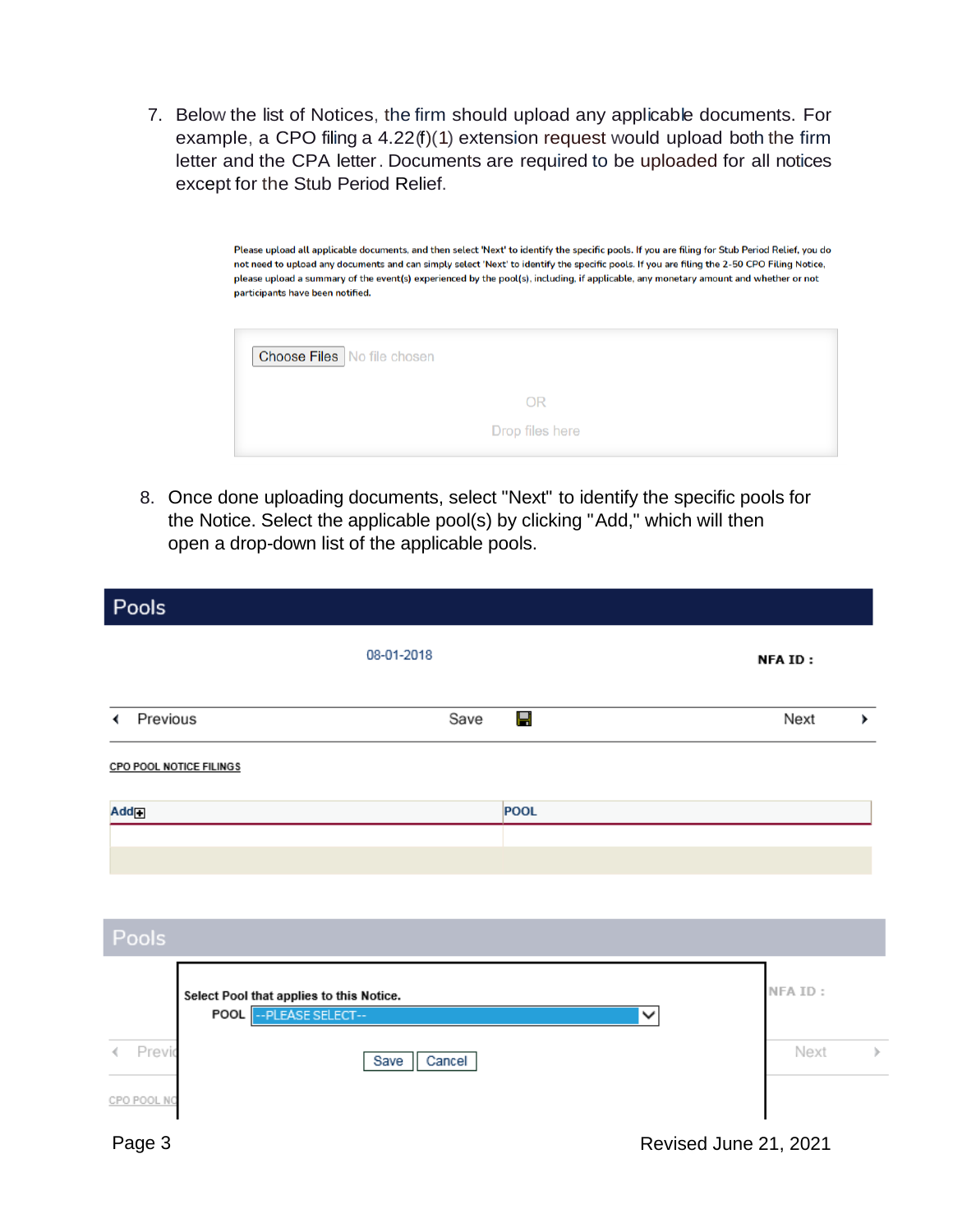7. Below the list of Notices, the firm should upload any applicable documents. For example, a CPO filing a 4.22(f)(1) extension request would upload both the firm letter and the CPA letter. Documents are required to be uploaded for all notices except for the Stub Period Relief.

> Please upload all applicable documents, and then select 'Next' to identify the specific pools. If you are filing for Stub Period Relief, you do not need to upload any documents and can simply select 'Next' to identify the specific pools. If you are filing the 2-50 CPO Filing Notice, please upload a summary of the event(s) experienced by the pool(s), including, if applicable, any monetary amount and whether or not participants have been notified.

| <b>Choose Files</b> No file chosen |                 |
|------------------------------------|-----------------|
|                                    | OR              |
|                                    | Drop files here |

8. Once done uploading documents, select "Next" to identify the specific pools for the Notice. Select the applicable pool(s) by clicking "Add," which will then open a drop-down list of the applicable pools.

| <b>Pools</b>                                                        |                |             |   |                       |    |
|---------------------------------------------------------------------|----------------|-------------|---|-----------------------|----|
|                                                                     | 08-01-2018     |             |   | <b>NFAID:</b>         |    |
| Previous<br>∢                                                       | Save           | Ч           |   | Next                  | ×. |
| <b>CPO POOL NOTICE FILINGS</b>                                      |                |             |   |                       |    |
| Add                                                                 |                | <b>POOL</b> |   |                       |    |
|                                                                     |                |             |   |                       |    |
|                                                                     |                |             |   |                       |    |
| Pools                                                               |                |             |   |                       |    |
| Select Pool that applies to this Notice.<br>POOL -- PLEASE SELECT-- |                |             | ∨ | NFA ID:               |    |
| Previd                                                              | Save<br>Cancel |             |   | Next                  | þ. |
| CPO POOL NO<br>Page 3                                               |                |             |   | Revised June 21, 2021 |    |